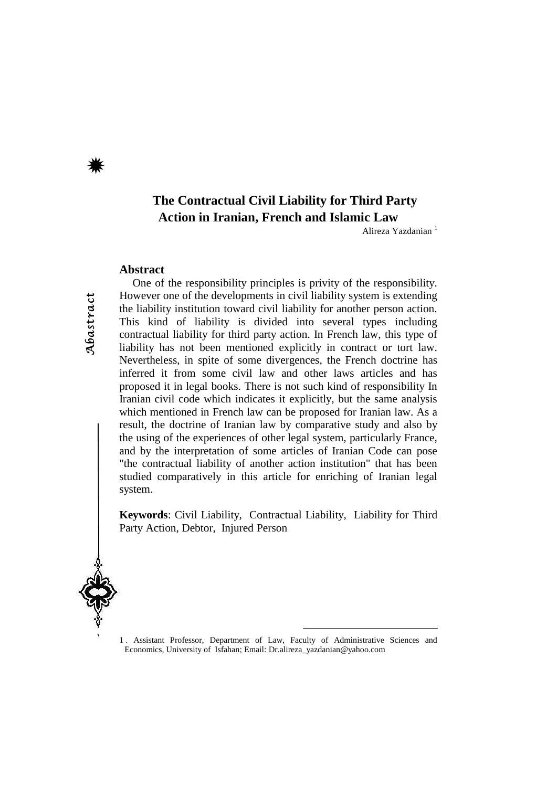# **The Contractual Civil Liability for Third Party Action in Iranian, French and Islamic Law**

Alireza Yazdanian<sup>1</sup>

#### **Abstract**

One of the responsibility principles is privity of the responsibility. However one of the developments in civil liability system is extending the liability institution toward civil liability for another person action. This kind of liability is divided into several types including contractual liability for third party action. In French law, this type of liability has not been mentioned explicitly in contract or tort law. Nevertheless, in spite of some divergences, the French doctrine has inferred it from some civil law and other laws articles and has proposed it in legal books. There is not such kind of responsibility In Iranian civil code which indicates it explicitly, but the same analysis which mentioned in French law can be proposed for Iranian law. As a result, the doctrine of Iranian law by comparative study and also by the using of the experiences of other legal system, particularly France, and by the interpretation of some articles of Iranian Code can pose "the contractual liability of another action institution" that has been studied comparatively in this article for enriching of Iranian legal system.

**Keywords**: Civil Liability, Contractual Liability, Liability for Third Party Action, Debtor, Injured Person



1 . Assistant Professor, Department of Law, Faculty of Administrative Sciences and Economics, University of Isfahan; Email: Dr.alireza\_yazdanian@yahoo.com

 $\overline{a}$ 

Abastract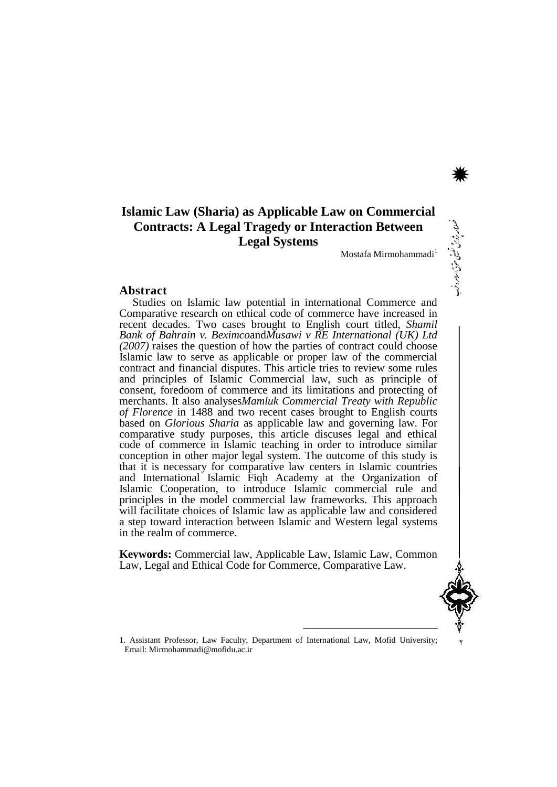# **Islamic Law (Sharia) as Applicable Law on Commercial Contracts: A Legal Tragedy or Interaction Between Legal Systems**

Mostafa Mirmohammadi

#### **Abstract**

Studies on Islamic law potential in international Commerce and Comparative research on ethical code of commerce have increased in recent decades. Two cases brought to English court titled, *Shamil Bank of Bahrain v. Beximco*and*Musawi v RE International (UK) Ltd (2007)* raises the question of how the parties of contract could choose Islamic law to serve as applicable or proper law of the commercial contract and financial disputes. This article tries to review some rules and principles of Islamic Commercial law, such as principle of consent, foredoom of commerce and its limitations and protecting of merchants. It also analyses*Mamluk Commercial Treaty with Republic of Florence* in 1488 and two recent cases brought to English courts based on *Glorious Sharia* as applicable law and governing law. For comparative study purposes, this article discuses legal and ethical code of commerce in Islamic teaching in order to introduce similar conception in other major legal system. The outcome of this study is that it is necessary for comparative law centers in Islamic countries and International Islamic Fiqh Academy at the Organization of Islamic Cooperation, to introduce Islamic commercial rule and principles in the model commercial law frameworks. This approach will facilitate choices of Islamic law as applicable law and considered a step toward interaction between Islamic and Western legal systems in the realm of commerce.

**Keywords:** Commercial law, Applicable Law, Islamic Law, Common Law, Legal and Ethical Code for Commerce, Comparative Law.



وق اسلام وغرب حق ی سيزية .<br>مراجع یبق

نامه زو<br>ماه

\*

1. Assistant Professor, Law Faculty, Department of International Law, Mofid University; Email: Mirmohammadi@mofidu.ac.ir

 $\overline{a}$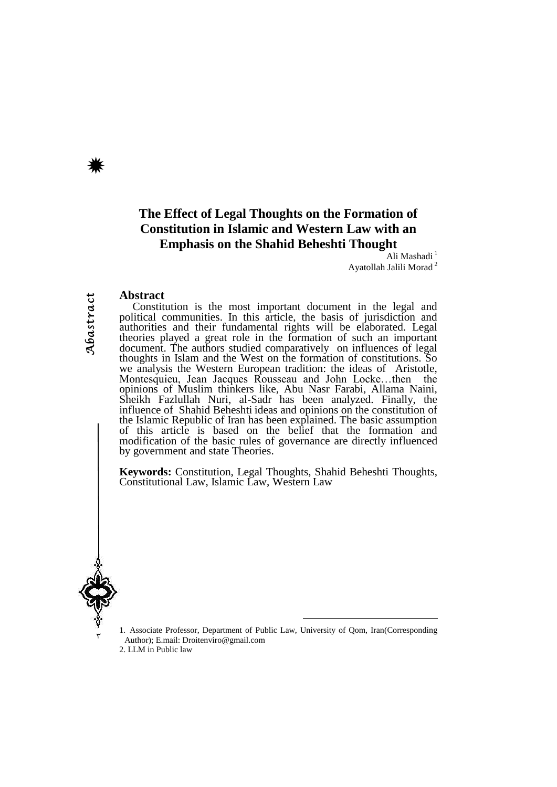# **The Effect of Legal Thoughts on the Formation of Constitution in Islamic and Western Law with an Emphasis on the Shahid Beheshti Thought**

Ali Mashadi<sup>1</sup> Ayatollah Jalili Morad <sup>2</sup>

#### **Abstract**

Constitution is the most important document in the legal and political communities. In this article, the basis of jurisdiction and authorities and their fundamental rights will be elaborated. Legal theories played a great role in the formation of such an important document. The authors studied comparatively on influences of legal thoughts in Islam and the West on the formation of constitutions. So we analysis the Western European tradition: the ideas of Aristotle, Montesquieu, Jean Jacques Rousseau and John Locke…then the opinions of Muslim thinkers like, Abu Nasr Farabi, Allama Naini, Sheikh Fazlullah Nuri, al-Sadr has been analyzed. Finally, the influence of Shahid Beheshti ideas and opinions on the constitution of the Islamic Republic of Iran has been explained. The basic assumption of this article is based on the belief that the formation and modification of the basic rules of governance are directly influenced by government and state Theories.

**Keywords:** Constitution, Legal Thoughts, Shahid Beheshti Thoughts, Constitutional Law, Islamic Law, Western Law



٣

1. Associate Professor, Department of Public Law, University of Qom, Iran(Corresponding Author); E.mail: [Droitenviro@gmail.com](mailto:Droitenviro@gmail.com)

<sup>-</sup>

2. LLM in Public law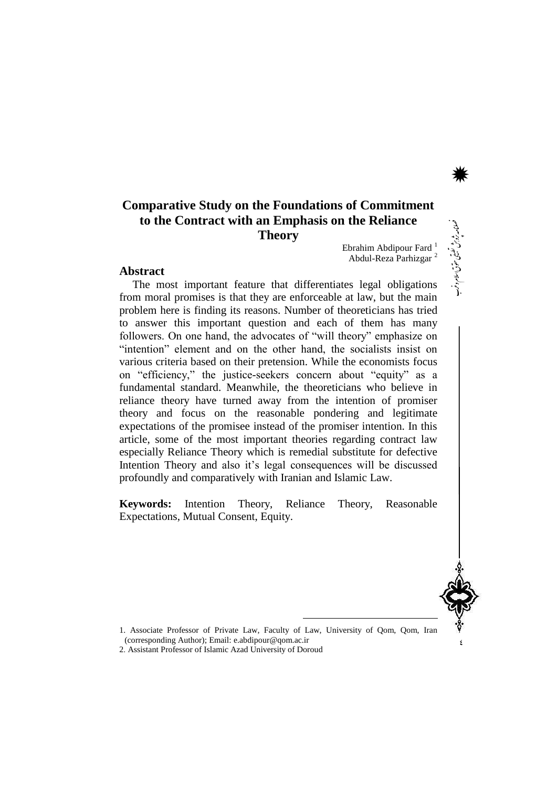# **Comparative Study on the Foundations of Commitment to the Contract with an Emphasis on the Reliance Theory**

Ebrahim Abdipour Fard <sup>1</sup> Abdul-Reza Parhizgar <sup>2</sup>

#### **Abstract**

The most important feature that differentiates legal obligations from moral promises is that they are enforceable at law, but the main problem here is finding its reasons. Number of theoreticians has tried to answer this important question and each of them has many followers. On one hand, the advocates of "will theory" emphasize on "intention" element and on the other hand, the socialists insist on various criteria based on their pretension. While the economists focus on "efficiency," the justice-seekers concern about "equity" as a fundamental standard. Meanwhile, the theoreticians who believe in reliance theory have turned away from the intention of promiser theory and focus on the reasonable pondering and legitimate expectations of the promisee instead of the promiser intention. In this article, some of the most important theories regarding contract law especially Reliance Theory which is remedial substitute for defective Intention Theory and also it's legal consequences will be discussed profoundly and comparatively with Iranian and Islamic Law.

**Keywords:** Intention Theory, Reliance Theory, Reasonable Expectations, Mutual Consent, Equity.



ی حوّت اسلام دغرب

بزید.<br>بیرونی نامه زو<br>ماه

\*

1. Associate Professor of Private Law, Faculty of Law, University of Qom, Qom, Iran (corresponding Author); Email: e.abdipour@qom.ac.ir

<sup>-</sup>

2. Assistant Professor of Islamic Azad University of Doroud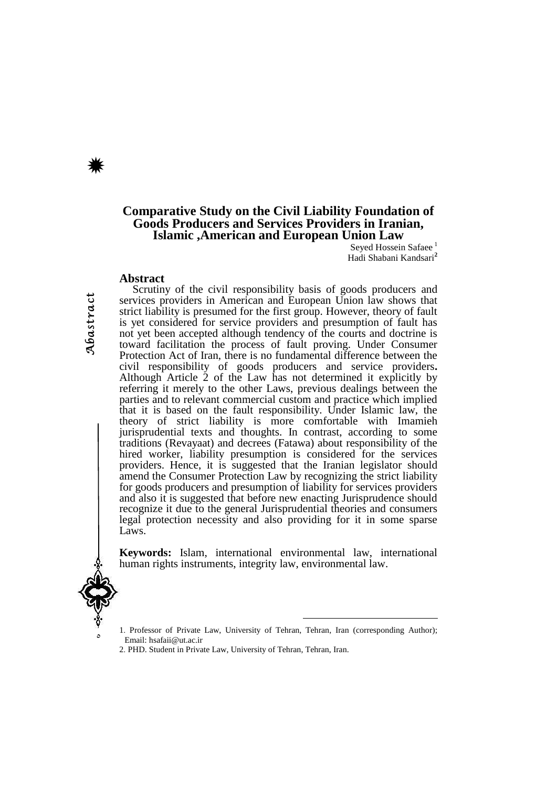## **Comparative Study on the Civil Liability Foundation of Goods Producers and Services Providers in Iranian, Islamic ,American and European Union Law**

Seyed Hossein Safaee<sup>1</sup> Hadi Shabani Kandsari**<sup>2</sup>**

#### **Abstract**

Scrutiny of the civil responsibility basis of goods producers and services providers in American and European Union law shows that strict liability is presumed for the first group. However, theory of fault is yet considered for service providers and presumption of fault has not yet been accepted although tendency of the courts and doctrine is toward facilitation the process of fault proving. Under Consumer Protection Act of Iran, there is no fundamental difference between the civil responsibility of goods producers and service providers**.**  Although Article 2 of the Law has not determined it explicitly by referring it merely to the other Laws, previous dealings between the parties and to relevant commercial custom and practice which implied that it is based on the fault responsibility. Under Islamic law, the theory of strict liability is more comfortable with Imamieh jurisprudential texts and thoughts. In contrast, according to some traditions (Revayaat) and decrees (Fatawa) about responsibility of the hired worker, liability presumption is considered for the services providers. Hence, it is suggested that the Iranian legislator should amend the Consumer Protection Law by recognizing the strict liability for goods producers and presumption of liability for services providers and also it is suggested that before new enacting Jurisprudence should recognize it due to the general Jurisprudential theories and consumers legal protection necessity and also providing for it in some sparse Laws.

**Keywords:** Islam, international environmental law, international human rights instruments, integrity law, environmental law.



 $\circ$ 

1. Professor of Private Law, University of Tehran, Tehran, Iran (corresponding Author); Email: hsafaii@ut.ac.ir

<sup>-</sup>

<sup>2.</sup> PHD. Student in Private Law, University of Tehran, Tehran, Iran.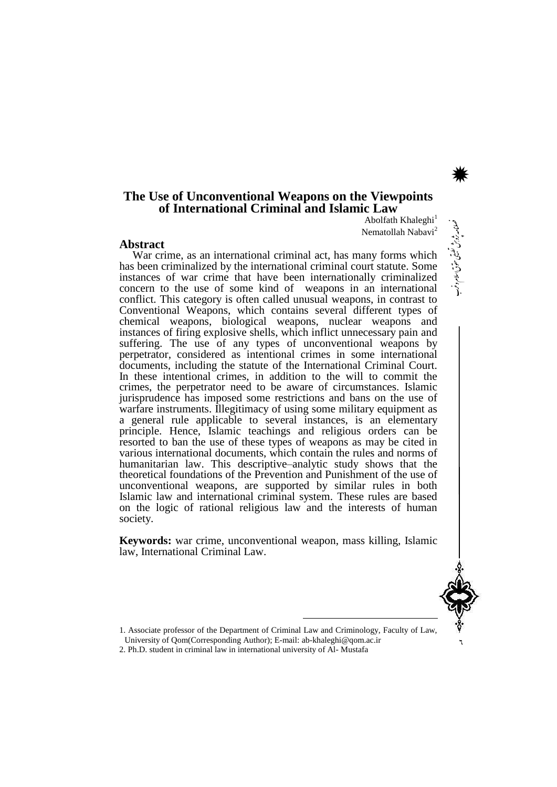## **The Use of Unconventional Weapons on the Viewpoints of International Criminal and Islamic Law**

Abolfath Khaleghi<sup>1</sup> Nematollah Nabavi<sup>2</sup>

#### **Abstract**

War crime, as an international criminal act, has many forms which has been criminalized by the international criminal court statute. Some instances of war crime that have been internationally criminalized concern to the use of some kind of weapons in an international conflict. This category is often called unusual weapons, in contrast to Conventional Weapons, which contains several different types of chemical weapons, biological weapons, nuclear weapons and instances of firing explosive shells, which inflict unnecessary pain and suffering. The use of any types of unconventional weapons by perpetrator, considered as intentional crimes in some international documents, including the statute of the International Criminal Court. In these intentional crimes, in addition to the will to commit the crimes, the perpetrator need to be aware of circumstances. Islamic jurisprudence has imposed some restrictions and bans on the use of warfare instruments. Illegitimacy of using some military equipment as a general rule applicable to several instances, is an elementary principle. Hence, Islamic teachings and religious orders can be resorted to ban the use of these types of weapons as may be cited in various international documents, which contain the rules and norms of humanitarian law. This descriptive–analytic study shows that the theoretical foundations of the Prevention and Punishment of the use of unconventional weapons, are supported by similar rules in both Islamic law and international criminal system. These rules are based on the logic of rational religious law and the interests of human society.

**Keywords:** war crime, unconventional weapon, mass killing, Islamic law, International Criminal Law.



وق اسلام وغرب حق ی سيزية .<br>مراجع یبق

نامه زو<br>ماه

\*

1. Associate professor of the Department of Criminal Law and Criminology, Faculty of Law,

<sup>-</sup>

University of Qom(Corresponding Author); E-mail: ab-khaleghi@qom.ac.ir 2. Ph.D. student in criminal law in international university of Al- Mustafa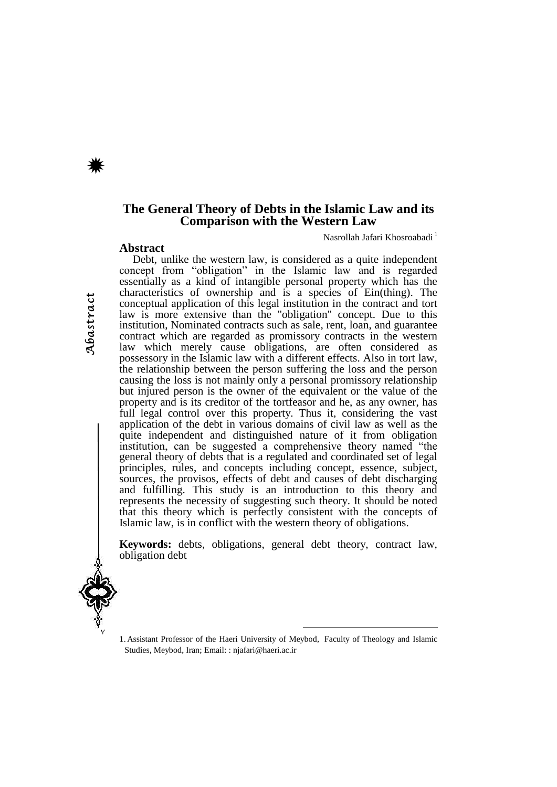**Abstract**

### **The General Theory of Debts in the Islamic Law and its Comparison with the Western Law**

Nasrollah Jafari Khosroabadi<sup>1</sup>

Debt, unlike the western law, is considered as a quite independent concept from "obligation" in the Islamic law and is regarded essentially as a kind of intangible personal property which has the characteristics of ownership and is a species of Ein(thing). The conceptual application of this legal institution in the contract and tort law is more extensive than the "obligation" concept. Due to this institution, Nominated contracts such as sale, rent, loan, and guarantee contract which are regarded as promissory contracts in the western law which merely cause obligations, are often considered as possessory in the Islamic law with a different effects. Also in tort law, the relationship between the person suffering the loss and the person causing the loss is not mainly only a personal promissory relationship but injured person is the owner of the equivalent or the value of the property and is its creditor of the tortfeasor and he, as any owner, has full legal control over this property. Thus it, considering the vast application of the debt in various domains of civil law as well as the quite independent and distinguished nature of it from obligation institution, can be suggested a comprehensive theory named "the general theory of debts that is a regulated and coordinated set of legal principles, rules, and concepts including concept, essence, subject, sources, the provisos, effects of debt and causes of debt discharging and fulfilling. This study is an introduction to this theory and represents the necessity of suggesting such theory. It should be noted that this theory which is perfectly consistent with the concepts of Islamic law, is in conflict with the western theory of obligations.

**Keywords:** debts, obligations, general debt theory, contract law, obligation debt



<sup>1</sup>. Assistant Professor of the Haeri University of Meybod, Faculty of Theology and Islamic Studies, Meybod, Iran; Email: : njafari@haeri.ac.ir

<sup>-</sup>

Abastract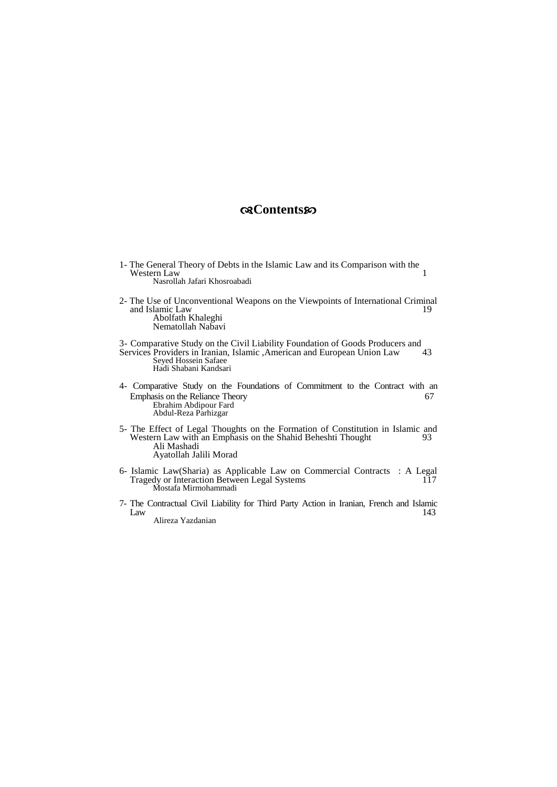## **Contents**

- 1- The General Theory of Debts in the Islamic Law and its Comparison with the Western Law Western Law Nasrollah Jafari Khosroabadi
- 2- The Use of Unconventional Weapons on the Viewpoints of International Criminal and Islamic Law Abolfath Khaleghi Nematollah Nabavi

3- Comparative Study on the Civil Liability Foundation of Goods Producers and Services Providers in Iranian, Islamic ,American and European Union Law 43 Seyed Hossein Safaee

Hadi Shabani Kandsari

- 4- Comparative Study on the Foundations of Commitment to the Contract with an Emphasis on the Reliance Theory 67 Ebrahim Abdipour Fard Abdul-Reza Parhizgar
- 5- The Effect of Legal Thoughts on the Formation of Constitution in Islamic and Western Law with an Emphasis on the Shahid Beheshti Thought 93 Western Law with an Emphasis on the Shahid Beheshti Thought Ali Mashadi Ayatollah Jalili Morad
- 6- Islamic Law(Sharia) as Applicable Law on Commercial Contracts : A Legal Tragedy or Interaction Between Legal Systems 117 Mostafa Mirmohammadi
- 7- The Contractual Civil Liability for Third Party Action in Iranian, French and Islamic  $Law$  143 Alireza Yazdanian